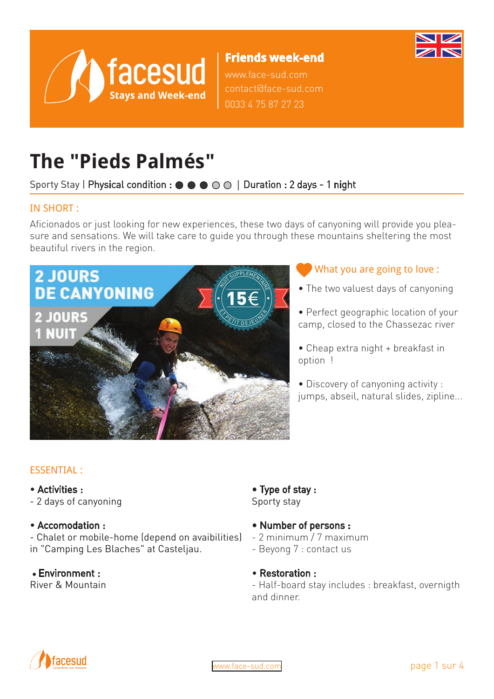

# **Friends week-end**

www.face-sud.com contact@face-sud.com 0033 4 75 87 27 23

# **The "Pieds Palmés"**

# Sporty Stay | Physical condition : ● ● ● ○ ○ | Duration : 2 days - 1 night

#### IN SHORT :

Aficionados or just looking for new experiences, these two days of canyoning will provide you pleasure and sensations. We will take care to guide you through these mountains sheltering the most beautiful rivers in the region.



### What you are going to love :

- The two valuest days of canyoning
- Perfect geographic location of your camp, closed to the Chassezac river
- Cheap extra night + breakfast in option !
- Discovery of canyoning activity : jumps, abseil, natural slides, zipline...

### ESSENTIAL :

- Activities :
- 2 days of canyoning
- Accomodation :

- Chalet or mobile-home (depend on avaibilities) in "Camping Les Blaches" at Casteljau.

# • Environment :

River & Mountain

#### • Type of stay : Sporty stay

- Number of persons :
- 2 minimum / 7 maximum
- Beyong 7 : contact us
- Restoration :

- Half-board stay includes : breakfast, overnigth and dinner.

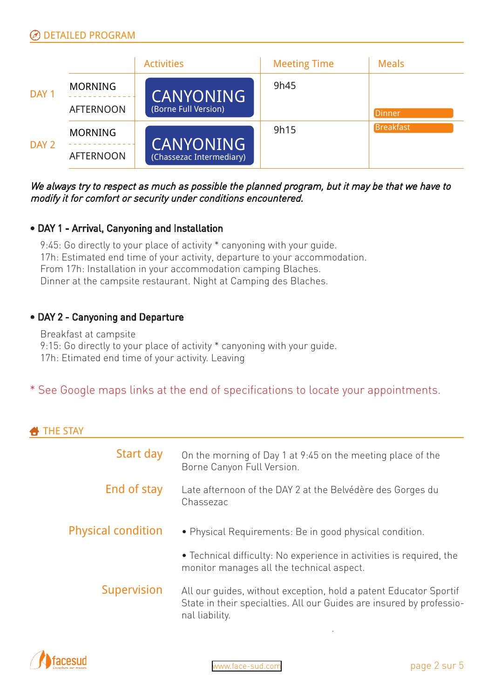

We always try to respect as much as possible the planned program, but it may be that we have to modify it for comfort or security under conditions encountered.

#### • DAY 1 - Arrival, Canyoning and Installation

9:45: Go directly to your place of activity \* canyoning with your guide. 17h: Estimated end time of your activity, departure to your accommodation. From 17h: Installation in your accommodation camping Blaches. Dinner at the campsite restaurant. Night at Camping des Blaches.

#### • DAY 2 - Canyoning and Departure

Breakfast at campsite 9:15: Go directly to your place of activity \* canyoning with your guide. 17h: Etimated end time of your activity. Leaving

# \* See Google maps links at the end of specifications to locate your appointments.

|  | __ |  |
|--|----|--|

| Start day                 | On the morning of Day 1 at 9:45 on the meeting place of the<br>Borne Canyon Full Version.                                                                   |
|---------------------------|-------------------------------------------------------------------------------------------------------------------------------------------------------------|
| End of stay               | Late afternoon of the DAY 2 at the Belvédère des Gorges du<br>Chassezac                                                                                     |
| <b>Physical condition</b> | · Physical Requirements: Be in good physical condition.                                                                                                     |
|                           | • Technical difficulty: No experience in activities is required, the<br>monitor manages all the technical aspect.                                           |
| Supervision               | All our quides, without exception, hold a patent Educator Sportif<br>State in their specialties. All our Guides are insured by professio-<br>nal liability. |
|                           |                                                                                                                                                             |

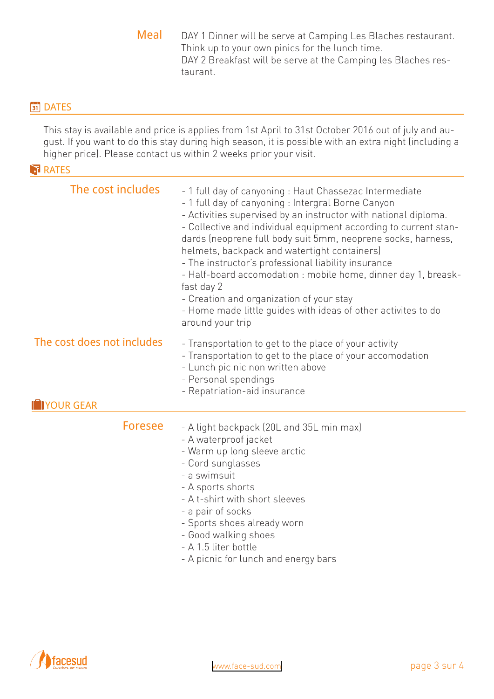Meal DAY 1 Dinner will be serve at Camping Les Blaches restaurant. Think up to your own pinics for the lunch time. DAY 2 Breakfast will be serve at the Camping les Blaches restaurant.

#### **31** DATES

This stay is available and price is applies from 1st April to 31st October 2016 out of july and august. If you want to do this stay during high season, it is possible with an extra night (including a higher price). Please contact us within 2 weeks prior your visit.

#### **RATES**

| The cost includes                                 | - 1 full day of canyoning : Haut Chassezac Intermediate<br>- 1 full day of canyoning : Intergral Borne Canyon<br>- Activities supervised by an instructor with national diploma.<br>- Collective and individual equipment according to current stan-<br>dards (neoprene full body suit 5mm, neoprene socks, harness,<br>helmets, backpack and watertight containers)<br>- The instructor's professional liability insurance<br>- Half-board accomodation : mobile home, dinner day 1, breask-<br>fast day 2<br>- Creation and organization of your stay<br>- Home made little guides with ideas of other activites to do<br>around your trip |
|---------------------------------------------------|----------------------------------------------------------------------------------------------------------------------------------------------------------------------------------------------------------------------------------------------------------------------------------------------------------------------------------------------------------------------------------------------------------------------------------------------------------------------------------------------------------------------------------------------------------------------------------------------------------------------------------------------|
| The cost does not includes<br><b>IN YOUR GEAR</b> | - Transportation to get to the place of your activity<br>- Transportation to get to the place of your accomodation<br>- Lunch pic nic non written above<br>- Personal spendings<br>- Repatriation-aid insurance                                                                                                                                                                                                                                                                                                                                                                                                                              |
| <b>Foresee</b>                                    | - A light backpack (20L and 35L min max)<br>- A waterproof jacket<br>- Warm up long sleeve arctic<br>- Cord sunglasses<br>- a swimsuit<br>- A sports shorts<br>- A t-shirt with short sleeves<br>- a pair of socks<br>- Sports shoes already worn<br>- Good walking shoes<br>- A 1.5 liter bottle<br>- A picnic for lunch and energy bars                                                                                                                                                                                                                                                                                                    |